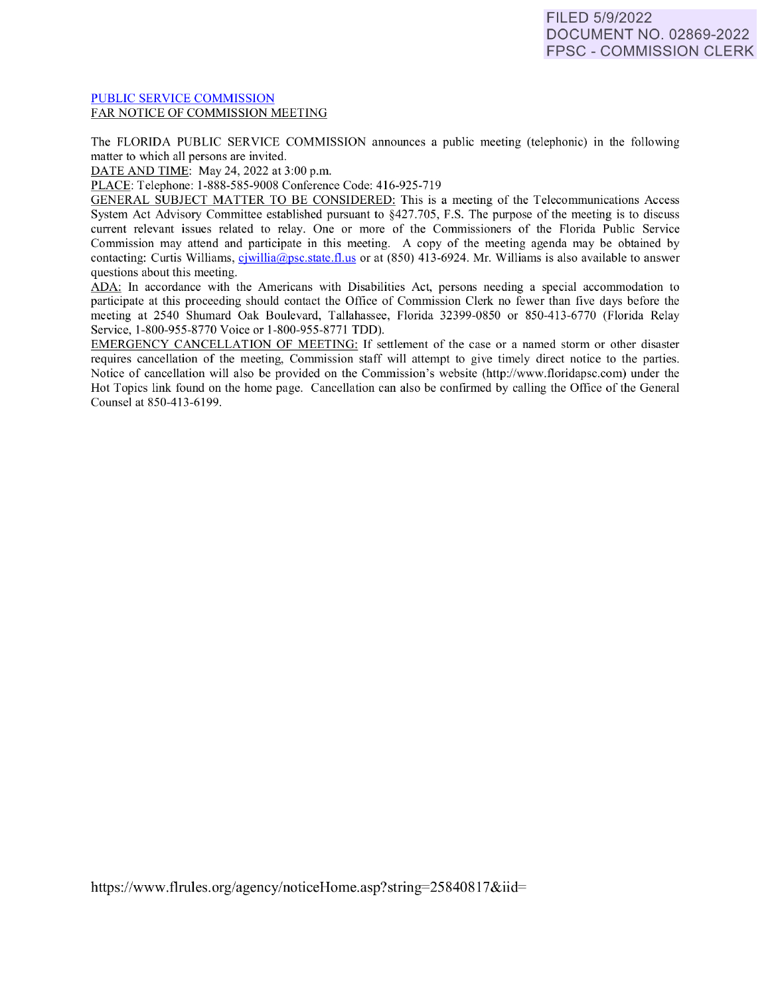### [PUBLIC SERVICE COMMISSION](https://www.flrules.org/gateway/department.asp?id=25)  FAR NOTICE OF COMMISSION MEETING

The FLORIDA PUBLIC SERVICE COMMISSION announces a public meeting (telephonic) in the following matter to which all persons are invited.

DATE AND TIME: May 24, 2022 at 3:00 p.m.

PLACE: Telephone: 1-888-585-9008 Conference Code: 416-925-7 19

GENERAL SUBJECT MATTER TO BE CONSIDERED: This is a meeting of the Telecommunications Access System Act Advisory Committee established pursuant to §427.705, F.S. The purpose of the meeting is to discuss current relevant issues related to relay. One or more of the Commissioners of the Florida Public Service Commission may attend and participate in this meeting. A copy of the meeting agenda may be obtained by contacting: Curtis Williams, c [jwillia@psc.state.fl.us](mailto:cjwillia@psc.state.fl.us) or at  $(850)$  413-6924. Mr. Williams is also available to answer questions about this meeting.

ADA: In accordance with the Americans with Disabilities Act, persons needing a special accommodation to participate at this proceeding should contact the Office of Commission Clerk no fewer than five days before the meeting at 2540 Shumard Oak Boulevard, Tallahassee, Florida 32399-0850 or 850-413-6770 (Florida Relay Service, 1-800-955-8770 Voice or 1-800-955-8771 TDD).

EMERGENCY CANCELLATION OF MEETING: lf settlement of the case or a named storm or other disaster requires cancellation of the meeting, Commission staff will attempt to give timely direct notice to the parties. Notice of cancellation will also be provided on the Commission's website (http://www.floridapsc.com) under the Hot Topics link found on the home page. Cancellation can also be confirmed by calling the Office of the General Counsel at 850-413-6199.